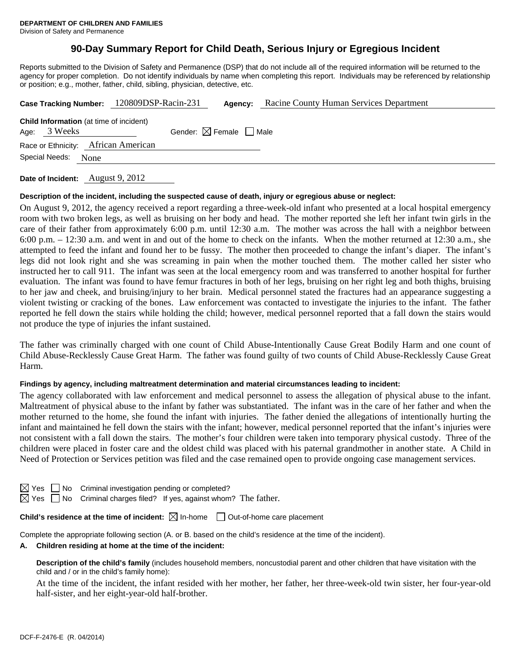# **90-Day Summary Report for Child Death, Serious Injury or Egregious Incident**

Reports submitted to the Division of Safety and Permanence (DSP) that do not include all of the required information will be returned to the agency for proper completion. Do not identify individuals by name when completing this report. Individuals may be referenced by relationship or position; e.g., mother, father, child, sibling, physician, detective, etc.

| Case Tracking Number: 120809DSP-Racin-231                      | Racine County Human Services Department<br>Agency: |
|----------------------------------------------------------------|----------------------------------------------------|
| <b>Child Information</b> (at time of incident)<br>Age: 3 Weeks | Gender: $\boxtimes$ Female $\Box$ Male             |
| Race or Ethnicity: African American                            |                                                    |
| Special Needs:<br>None                                         |                                                    |
|                                                                |                                                    |

**Date of Incident:** August 9, 2012

### **Description of the incident, including the suspected cause of death, injury or egregious abuse or neglect:**

On August 9, 2012, the agency received a report regarding a three-week-old infant who presented at a local hospital emergency room with two broken legs, as well as bruising on her body and head. The mother reported she left her infant twin girls in the care of their father from approximately 6:00 p.m. until 12:30 a.m. The mother was across the hall with a neighbor between 6:00 p.m. – 12:30 a.m. and went in and out of the home to check on the infants. When the mother returned at 12:30 a.m., she attempted to feed the infant and found her to be fussy. The mother then proceeded to change the infant's diaper. The infant's legs did not look right and she was screaming in pain when the mother touched them. The mother called her sister who instructed her to call 911. The infant was seen at the local emergency room and was transferred to another hospital for further evaluation. The infant was found to have femur fractures in both of her legs, bruising on her right leg and both thighs, bruising to her jaw and cheek, and bruising/injury to her brain. Medical personnel stated the fractures had an appearance suggesting a violent twisting or cracking of the bones. Law enforcement was contacted to investigate the injuries to the infant. The father reported he fell down the stairs while holding the child; however, medical personnel reported that a fall down the stairs would not produce the type of injuries the infant sustained.

The father was criminally charged with one count of Child Abuse-Intentionally Cause Great Bodily Harm and one count of Child Abuse-Recklessly Cause Great Harm. The father was found guilty of two counts of Child Abuse-Recklessly Cause Great Harm.

### **Findings by agency, including maltreatment determination and material circumstances leading to incident:**

The agency collaborated with law enforcement and medical personnel to assess the allegation of physical abuse to the infant. Maltreatment of physical abuse to the infant by father was substantiated. The infant was in the care of her father and when the mother returned to the home, she found the infant with injuries. The father denied the allegations of intentionally hurting the infant and maintained he fell down the stairs with the infant; however, medical personnel reported that the infant's injuries were not consistent with a fall down the stairs. The mother's four children were taken into temporary physical custody. Three of the children were placed in foster care and the oldest child was placed with his paternal grandmother in another state. A Child in Need of Protection or Services petition was filed and the case remained open to provide ongoing case management services.

 $\Box$  No Criminal investigation pending or completed?

 $\Box$  No Criminal charges filed? If yes, against whom? The father.

**Child's residence at the time of incident:**  $\boxtimes$  In-home  $\Box$  Out-of-home care placement

Complete the appropriate following section (A. or B. based on the child's residence at the time of the incident).

### **A. Children residing at home at the time of the incident:**

**Description of the child's family** (includes household members, noncustodial parent and other children that have visitation with the child and / or in the child's family home):

 At the time of the incident, the infant resided with her mother, her father, her three-week-old twin sister, her four-year-old half-sister, and her eight-year-old half-brother.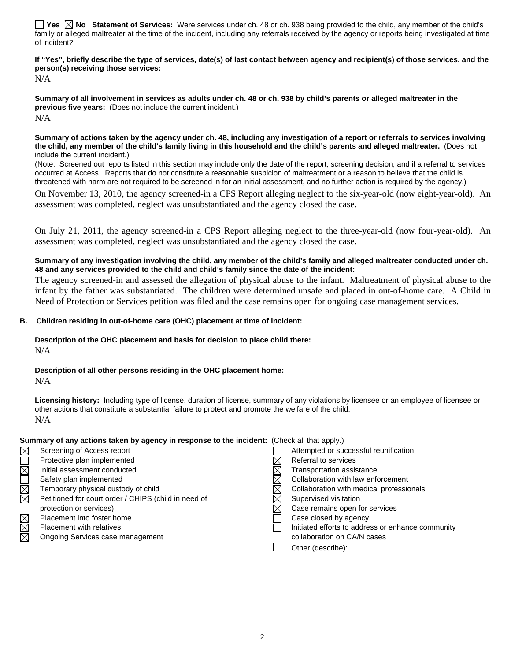**Yes No Statement of Services:** Were services under ch. 48 or ch. 938 being provided to the child, any member of the child's family or alleged maltreater at the time of the incident, including any referrals received by the agency or reports being investigated at time of incident?

#### **If "Yes", briefly describe the type of services, date(s) of last contact between agency and recipient(s) of those services, and the person(s) receiving those services:**

N/A

**Summary of all involvement in services as adults under ch. 48 or ch. 938 by child's parents or alleged maltreater in the previous five years:** (Does not include the current incident.) N/A

**Summary of actions taken by the agency under ch. 48, including any investigation of a report or referrals to services involving the child, any member of the child's family living in this household and the child's parents and alleged maltreater.** (Does not include the current incident.)

(Note: Screened out reports listed in this section may include only the date of the report, screening decision, and if a referral to services occurred at Access. Reports that do not constitute a reasonable suspicion of maltreatment or a reason to believe that the child is threatened with harm are not required to be screened in for an initial assessment, and no further action is required by the agency.)

On November 13, 2010, the agency screened-in a CPS Report alleging neglect to the six-year-old (now eight-year-old). An assessment was completed, neglect was unsubstantiated and the agency closed the case.

On July 21, 2011, the agency screened-in a CPS Report alleging neglect to the three-year-old (now four-year-old). An assessment was completed, neglect was unsubstantiated and the agency closed the case.

**Summary of any investigation involving the child, any member of the child's family and alleged maltreater conducted under ch. 48 and any services provided to the child and child's family since the date of the incident:** 

The agency screened-in and assessed the allegation of physical abuse to the infant. Maltreatment of physical abuse to the infant by the father was substantiated. The children were determined unsafe and placed in out-of-home care. A Child in Need of Protection or Services petition was filed and the case remains open for ongoing case management services.

## **B. Children residing in out-of-home care (OHC) placement at time of incident:**

# **Description of the OHC placement and basis for decision to place child there:**

N/A

# **Description of all other persons residing in the OHC placement home:**

N/A

Licensing history: Including type of license, duration of license, summary of any violations by licensee or an employee of licensee or other actions that constitute a substantial failure to protect and promote the welfare of the child. N/A

## **Summary of any actions taken by agency in response to the incident:** (Check all that apply.)

 $\boxtimes$ 

- Protective plan implemented<br>
Initial assessment conducted<br>
Safety plan implemented<br>
Temporary physical custody of child<br>
Petitioned for court order / CHIPS (child in need of<br>  $\boxtimes$   $\boxtimes$   $\boxtimes$   $\boxtimes$   $\boxtimes$   $\boxtimes$   $\boxtimes$   $\boxtimes$ Initial assessment conducted  $\boxtimes$  Transportation assistance Petitioned for court order / CHIPS (child in need of  $\boxtimes$  Supervised visitation Placement into foster home Case closed by agency
- Ongoing Services case management collaboration on CA/N cases
- Screening of Access report Attempted or successful reunification Safety plan implemented  $\boxtimes$  Collaboration with law enforcement Temporary physical custody of child  $\boxtimes$  Collaboration with medical professionals protection or services)  $\boxtimes$  Case remains open for services Placement with relatives **Initiated efforts to address or enhance community**  $\Box$  Initiated efforts to address or enhance community Other (describe):